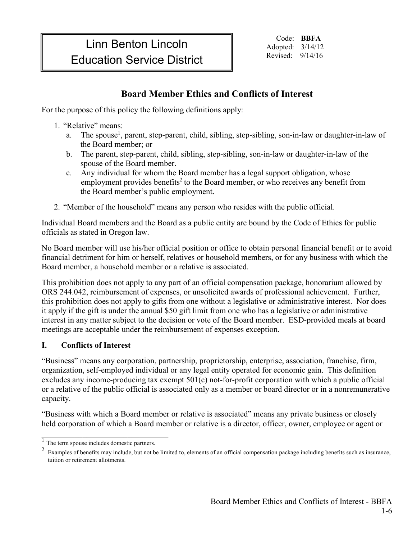# Linn Benton Lincoln **Education Service District** Nevised: 9/14/16

Code: **BBFA** Adopted: 3/14/12

# **Board Member Ethics and Conflicts of Interest**

For the purpose of this policy the following definitions apply:

- 1. "Relative" means:
	- a. The spouse<sup>1</sup>, parent, step-parent, child, sibling, step-sibling, son-in-law or daughter-in-law of the Board member; or
	- b. The parent, step-parent, child, sibling, step-sibling, son-in-law or daughter-in-law of the spouse of the Board member.
	- c. Any individual for whom the Board member has a legal support obligation, whose employment provides benefits<sup>2</sup> to the Board member, or who receives any benefit from the Board member's public employment.
- 2. "Member of the household" means any person who resides with the public official.

Individual Board members and the Board as a public entity are bound by the Code of Ethics for public officials as stated in Oregon law.

No Board member will use his/her official position or office to obtain personal financial benefit or to avoid financial detriment for him or herself, relatives or household members, or for any business with which the Board member, a household member or a relative is associated.

This prohibition does not apply to any part of an official compensation package, honorarium allowed by ORS 244.042, reimbursement of expenses, or unsolicited awards of professional achievement. Further, this prohibition does not apply to gifts from one without a legislative or administrative interest. Nor does it apply if the gift is under the annual \$50 gift limit from one who has a legislative or administrative interest in any matter subject to the decision or vote of the Board member. ESD-provided meals at board meetings are acceptable under the reimbursement of expenses exception.

# **I. Conflicts of Interest**

"Business" means any corporation, partnership, proprietorship, enterprise, association, franchise, firm, organization, self-employed individual or any legal entity operated for economic gain. This definition excludes any income-producing tax exempt 501(c) not-for-profit corporation with which a public official or a relative of the public official is associated only as a member or board director or in a nonremunerative capacity.

"Business with which a Board member or relative is associated" means any private business or closely held corporation of which a Board member or relative is a director, officer, owner, employee or agent or

 $\mathcal{L}_\mathcal{L}$ 

 $\frac{1}{1}$  The term spouse includes domestic partners.

 $2\,$  Examples of benefits may include, but not be limited to, elements of an official compensation package including benefits such as insurance, tuition or retirement allotments.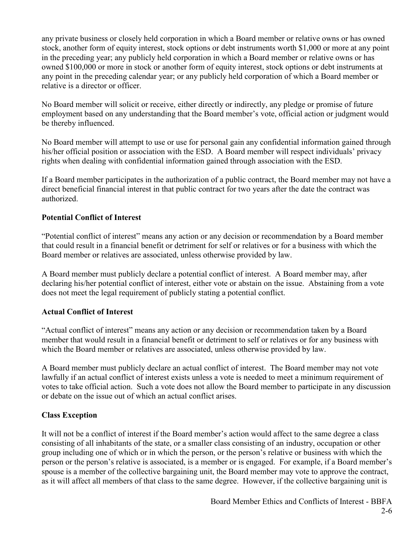any private business or closely held corporation in which a Board member or relative owns or has owned stock, another form of equity interest, stock options or debt instruments worth \$1,000 or more at any point in the preceding year; any publicly held corporation in which a Board member or relative owns or has owned \$100,000 or more in stock or another form of equity interest, stock options or debt instruments at any point in the preceding calendar year; or any publicly held corporation of which a Board member or relative is a director or officer.

No Board member will solicit or receive, either directly or indirectly, any pledge or promise of future employment based on any understanding that the Board member's vote, official action or judgment would be thereby influenced.

No Board member will attempt to use or use for personal gain any confidential information gained through his/her official position or association with the ESD. A Board member will respect individuals' privacy rights when dealing with confidential information gained through association with the ESD.

If a Board member participates in the authorization of a public contract, the Board member may not have a direct beneficial financial interest in that public contract for two years after the date the contract was authorized.

# **Potential Conflict of Interest**

"Potential conflict of interest" means any action or any decision or recommendation by a Board member that could result in a financial benefit or detriment for self or relatives or for a business with which the Board member or relatives are associated, unless otherwise provided by law.

A Board member must publicly declare a potential conflict of interest. A Board member may, after declaring his/her potential conflict of interest, either vote or abstain on the issue. Abstaining from a vote does not meet the legal requirement of publicly stating a potential conflict.

# **Actual Conflict of Interest**

"Actual conflict of interest" means any action or any decision or recommendation taken by a Board member that would result in a financial benefit or detriment to self or relatives or for any business with which the Board member or relatives are associated, unless otherwise provided by law.

A Board member must publicly declare an actual conflict of interest. The Board member may not vote lawfully if an actual conflict of interest exists unless a vote is needed to meet a minimum requirement of votes to take official action. Such a vote does not allow the Board member to participate in any discussion or debate on the issue out of which an actual conflict arises.

# **Class Exception**

It will not be a conflict of interest if the Board member's action would affect to the same degree a class consisting of all inhabitants of the state, or a smaller class consisting of an industry, occupation or other group including one of which or in which the person, or the person's relative or business with which the person or the person's relative is associated, is a member or is engaged. For example, if a Board member's spouse is a member of the collective bargaining unit, the Board member may vote to approve the contract, as it will affect all members of that class to the same degree. However, if the collective bargaining unit is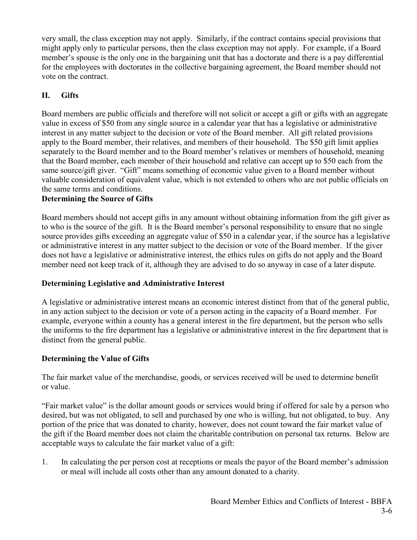very small, the class exception may not apply. Similarly, if the contract contains special provisions that might apply only to particular persons, then the class exception may not apply. For example, if a Board member's spouse is the only one in the bargaining unit that has a doctorate and there is a pay differential for the employees with doctorates in the collective bargaining agreement, the Board member should not vote on the contract.

# **II. Gifts**

Board members are public officials and therefore will not solicit or accept a gift or gifts with an aggregate value in excess of \$50 from any single source in a calendar year that has a legislative or administrative interest in any matter subject to the decision or vote of the Board member. All gift related provisions apply to the Board member, their relatives, and members of their household. The \$50 gift limit applies separately to the Board member and to the Board member's relatives or members of household, meaning that the Board member, each member of their household and relative can accept up to \$50 each from the same source/gift giver. "Gift" means something of economic value given to a Board member without valuable consideration of equivalent value, which is not extended to others who are not public officials on the same terms and conditions.

# **Determining the Source of Gifts**

Board members should not accept gifts in any amount without obtaining information from the gift giver as to who is the source of the gift. It is the Board member's personal responsibility to ensure that no single source provides gifts exceeding an aggregate value of \$50 in a calendar year, if the source has a legislative or administrative interest in any matter subject to the decision or vote of the Board member. If the giver does not have a legislative or administrative interest, the ethics rules on gifts do not apply and the Board member need not keep track of it, although they are advised to do so anyway in case of a later dispute.

#### **Determining Legislative and Administrative Interest**

A legislative or administrative interest means an economic interest distinct from that of the general public, in any action subject to the decision or vote of a person acting in the capacity of a Board member. For example, everyone within a county has a general interest in the fire department, but the person who sells the uniforms to the fire department has a legislative or administrative interest in the fire department that is distinct from the general public.

#### **Determining the Value of Gifts**

The fair market value of the merchandise, goods, or services received will be used to determine benefit or value.

"Fair market value" is the dollar amount goods or services would bring if offered for sale by a person who desired, but was not obligated, to sell and purchased by one who is willing, but not obligated, to buy. Any portion of the price that was donated to charity, however, does not count toward the fair market value of the gift if the Board member does not claim the charitable contribution on personal tax returns. Below are acceptable ways to calculate the fair market value of a gift:

1. In calculating the per person cost at receptions or meals the payor of the Board member's admission or meal will include all costs other than any amount donated to a charity.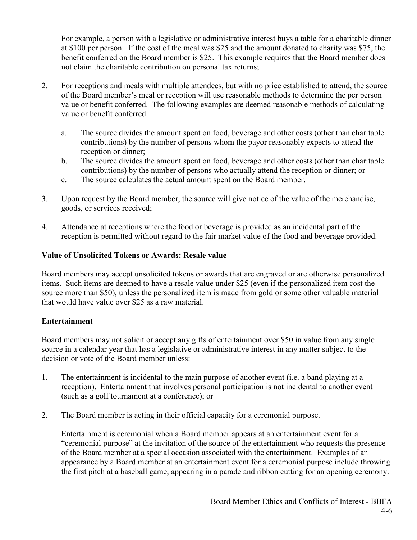For example, a person with a legislative or administrative interest buys a table for a charitable dinner at \$100 per person. If the cost of the meal was \$25 and the amount donated to charity was \$75, the benefit conferred on the Board member is \$25. This example requires that the Board member does not claim the charitable contribution on personal tax returns;

- 2. For receptions and meals with multiple attendees, but with no price established to attend, the source of the Board member's meal or reception will use reasonable methods to determine the per person value or benefit conferred. The following examples are deemed reasonable methods of calculating value or benefit conferred:
	- a. The source divides the amount spent on food, beverage and other costs (other than charitable contributions) by the number of persons whom the payor reasonably expects to attend the reception or dinner;
	- b. The source divides the amount spent on food, beverage and other costs (other than charitable contributions) by the number of persons who actually attend the reception or dinner; or
	- c. The source calculates the actual amount spent on the Board member.
- 3. Upon request by the Board member, the source will give notice of the value of the merchandise, goods, or services received;
- 4. Attendance at receptions where the food or beverage is provided as an incidental part of the reception is permitted without regard to the fair market value of the food and beverage provided.

# **Value of Unsolicited Tokens or Awards: Resale value**

Board members may accept unsolicited tokens or awards that are engraved or are otherwise personalized items. Such items are deemed to have a resale value under \$25 (even if the personalized item cost the source more than \$50), unless the personalized item is made from gold or some other valuable material that would have value over \$25 as a raw material.

# **Entertainment**

Board members may not solicit or accept any gifts of entertainment over \$50 in value from any single source in a calendar year that has a legislative or administrative interest in any matter subject to the decision or vote of the Board member unless:

- 1. The entertainment is incidental to the main purpose of another event (i.e. a band playing at a reception). Entertainment that involves personal participation is not incidental to another event (such as a golf tournament at a conference); or
- 2. The Board member is acting in their official capacity for a ceremonial purpose.

Entertainment is ceremonial when a Board member appears at an entertainment event for a "ceremonial purpose" at the invitation of the source of the entertainment who requests the presence of the Board member at a special occasion associated with the entertainment. Examples of an appearance by a Board member at an entertainment event for a ceremonial purpose include throwing the first pitch at a baseball game, appearing in a parade and ribbon cutting for an opening ceremony.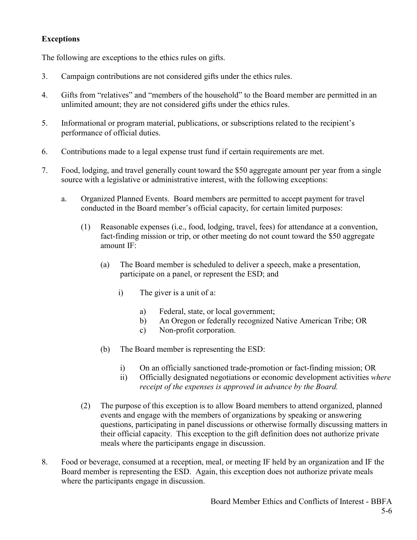# **Exceptions**

The following are exceptions to the ethics rules on gifts.

- 3. Campaign contributions are not considered gifts under the ethics rules.
- 4. Gifts from "relatives" and "members of the household" to the Board member are permitted in an unlimited amount; they are not considered gifts under the ethics rules.
- 5. Informational or program material, publications, or subscriptions related to the recipient's performance of official duties.
- 6. Contributions made to a legal expense trust fund if certain requirements are met.
- 7. Food, lodging, and travel generally count toward the \$50 aggregate amount per year from a single source with a legislative or administrative interest, with the following exceptions:
	- a. Organized Planned Events. Board members are permitted to accept payment for travel conducted in the Board member's official capacity, for certain limited purposes:
		- (1) Reasonable expenses (i.e., food, lodging, travel, fees) for attendance at a convention, fact-finding mission or trip, or other meeting do not count toward the \$50 aggregate amount IF:
			- (a) The Board member is scheduled to deliver a speech, make a presentation, participate on a panel, or represent the ESD; and
				- i) The giver is a unit of a:
					- a) Federal, state, or local government;
					- b) An Oregon or federally recognized Native American Tribe; OR
					- c) Non-profit corporation.
			- (b) The Board member is representing the ESD:
				- i) On an officially sanctioned trade-promotion or fact-finding mission; OR
				- ii) Officially designated negotiations or economic development activities *where receipt of the expenses is approved in advance by the Board.*
		- (2) The purpose of this exception is to allow Board members to attend organized, planned events and engage with the members of organizations by speaking or answering questions, participating in panel discussions or otherwise formally discussing matters in their official capacity. This exception to the gift definition does not authorize private meals where the participants engage in discussion.
- 8. Food or beverage, consumed at a reception, meal, or meeting IF held by an organization and IF the Board member is representing the ESD. Again, this exception does not authorize private meals where the participants engage in discussion.